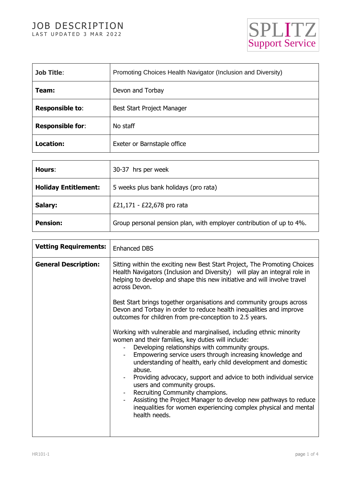# JOB DESCRIPTION LAST UPDATED 3 MAR 2022



| <b>Job Title:</b>       | Promoting Choices Health Navigator (Inclusion and Diversity) |
|-------------------------|--------------------------------------------------------------|
| Team:                   | Devon and Torbay                                             |
| <b>Responsible to:</b>  | Best Start Project Manager                                   |
| <b>Responsible for:</b> | No staff                                                     |
| Location:               | Exeter or Barnstaple office                                  |

| Hours:                      | 30-37 hrs per week                                                   |
|-----------------------------|----------------------------------------------------------------------|
| <b>Holiday Entitlement:</b> | 5 weeks plus bank holidays (pro rata)                                |
| Salary:                     | £21,171 - £22,678 pro rata                                           |
| <b>Pension:</b>             | Group personal pension plan, with employer contribution of up to 4%. |

| <b>Vetting Requirements:</b> | <b>Enhanced DBS</b>                                                                                                                                                                                                                                                                                                                                                                                                                                                                                                                                                                                                                                                                                                                                                                                                                                                                                                                                                                                                                                                                                   |
|------------------------------|-------------------------------------------------------------------------------------------------------------------------------------------------------------------------------------------------------------------------------------------------------------------------------------------------------------------------------------------------------------------------------------------------------------------------------------------------------------------------------------------------------------------------------------------------------------------------------------------------------------------------------------------------------------------------------------------------------------------------------------------------------------------------------------------------------------------------------------------------------------------------------------------------------------------------------------------------------------------------------------------------------------------------------------------------------------------------------------------------------|
| <b>General Description:</b>  | Sitting within the exciting new Best Start Project, The Promoting Choices<br>Health Navigators (Inclusion and Diversity) will play an integral role in<br>helping to develop and shape this new initiative and will involve travel<br>across Devon.<br>Best Start brings together organisations and community groups across<br>Devon and Torbay in order to reduce health inequalities and improve<br>outcomes for children from pre-conception to 2.5 years.<br>Working with vulnerable and marginalised, including ethnic minority<br>women and their families, key duties will include:<br>Developing relationships with community groups.<br>$\blacksquare$<br>Empowering service users through increasing knowledge and<br>understanding of health, early child development and domestic<br>abuse.<br>Providing advocacy, support and advice to both individual service<br>users and community groups.<br>Recruiting Community champions.<br>Assisting the Project Manager to develop new pathways to reduce<br>inequalities for women experiencing complex physical and mental<br>health needs. |
|                              |                                                                                                                                                                                                                                                                                                                                                                                                                                                                                                                                                                                                                                                                                                                                                                                                                                                                                                                                                                                                                                                                                                       |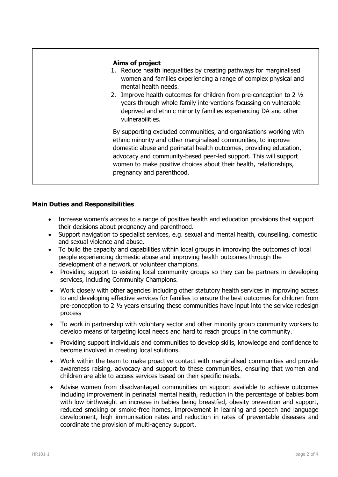| Aims of project<br>1. Reduce health inequalities by creating pathways for marginalised<br>women and families experiencing a range of complex physical and<br>mental health needs.<br>2. Improve health outcomes for children from pre-conception to 2 $1/2$<br>years through whole family interventions focussing on vulnerable<br>deprived and ethnic minority families experiencing DA and other<br>vulnerabilities. |
|------------------------------------------------------------------------------------------------------------------------------------------------------------------------------------------------------------------------------------------------------------------------------------------------------------------------------------------------------------------------------------------------------------------------|
| By supporting excluded communities, and organisations working with<br>ethnic minority and other marginalised communities, to improve<br>domestic abuse and perinatal health outcomes, providing education,<br>advocacy and community-based peer-led support. This will support<br>women to make positive choices about their health, relationships,<br>pregnancy and parenthood.                                       |

# **Main Duties and Responsibilities**

- Increase women's access to a range of positive health and education provisions that support their decisions about pregnancy and parenthood.
- Support navigation to specialist services, e.g. sexual and mental health, counselling, domestic and sexual violence and abuse.
- To build the capacity and capabilities within local groups in improving the outcomes of local people experiencing domestic abuse and improving health outcomes through the development of a network of volunteer champions.
- Providing support to existing local community groups so they can be partners in developing services, including Community Champions.
- Work closely with other agencies including other statutory health services in improving access to and developing effective services for families to ensure the best outcomes for children from pre-conception to 2 ½ years ensuring these communities have input into the service redesign process
- To work in partnership with voluntary sector and other minority group community workers to develop means of targeting local needs and hard to reach groups in the community.
- Providing support individuals and communities to develop skills, knowledge and confidence to become involved in creating local solutions.
- Work within the team to make proactive contact with marginalised communities and provide awareness raising, advocacy and support to these communities, ensuring that women and children are able to access services based on their specific needs.
- Advise women from disadvantaged communities on support available to achieve outcomes including improvement in perinatal mental health, reduction in the percentage of babies born with low birthweight an increase in babies being breastfed, obesity prevention and support, reduced smoking or smoke-free homes, improvement in learning and speech and language development, high immunisation rates and reduction in rates of preventable diseases and coordinate the provision of multi-agency support.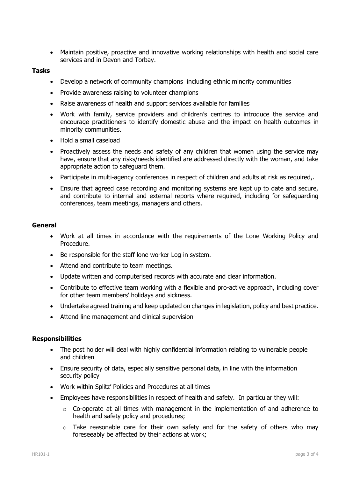Maintain positive, proactive and innovative working relationships with health and social care services and in Devon and Torbay.

### **Tasks**

- Develop a network of community champions including ethnic minority communities
- Provide awareness raising to volunteer champions
- Raise awareness of health and support services available for families
- Work with family, service providers and children's centres to introduce the service and encourage practitioners to identify domestic abuse and the impact on health outcomes in minority communities.
- Hold a small caseload
- Proactively assess the needs and safety of any children that women using the service may have, ensure that any risks/needs identified are addressed directly with the woman, and take appropriate action to safeguard them.
- Participate in multi-agency conferences in respect of children and adults at risk as required,.
- Ensure that agreed case recording and monitoring systems are kept up to date and secure, and contribute to internal and external reports where required, including for safeguarding conferences, team meetings, managers and others.

# **General**

- Work at all times in accordance with the requirements of the Lone Working Policy and Procedure.
- Be responsible for the staff lone worker Log in system.
- Attend and contribute to team meetings.
- Update written and computerised records with accurate and clear information.
- Contribute to effective team working with a flexible and pro-active approach, including cover for other team members' holidays and sickness.
- Undertake agreed training and keep updated on changes in legislation, policy and best practice.
- Attend line management and clinical supervision

#### **Responsibilities**

- The post holder will deal with highly confidential information relating to vulnerable people and children
- Ensure security of data, especially sensitive personal data, in line with the information security policy
- Work within Splitz' Policies and Procedures at all times
- Employees have responsibilities in respect of health and safety. In particular they will:
	- $\circ$  Co-operate at all times with management in the implementation of and adherence to health and safety policy and procedures;
	- $\circ$  Take reasonable care for their own safety and for the safety of others who may foreseeably be affected by their actions at work;